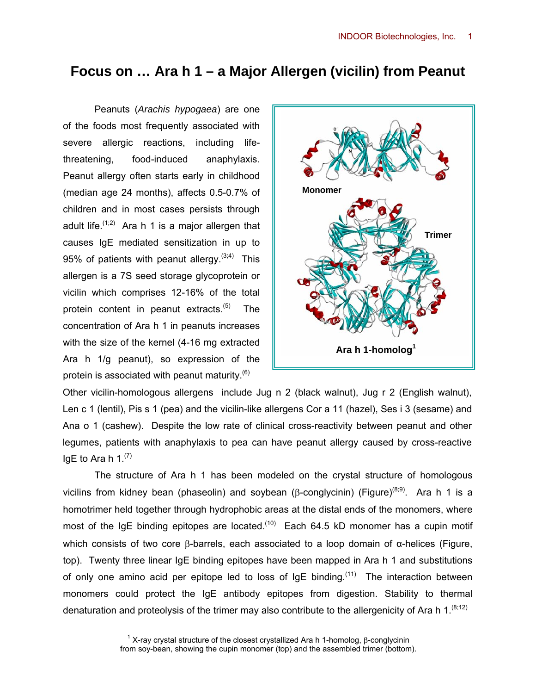## **Focus on … Ara h 1 – a Major Allergen (vicilin) from Peanut**

Peanuts (*Arachis hypogaea*) are one of the foods most frequently associated with severe allergic reactions, including lifethreatening, food-induced anaphylaxis. Peanut allergy often starts early in childhood (median age 24 months), affects 0.5-0.7% of children and in most cases persists through adult life.  $(1,2)$  Ara h 1 is a major allergen that causes IgE mediated sensitization in up to 95% of patients with peanut allergy.  $(3,4)$  This allergen is a 7S seed storage glycoprotein or vicilin which comprises 12-16% of the total protein content in peanut extracts. $(5)$  The concentration of Ara h 1 in peanuts increases with the size of the kernel (4-16 mg extracted Ara h 1/g peanut), so expression of the protein is associated with peanut maturity. $(6)$ 



Other vicilin-homologous allergens include Jug n 2 (black walnut), Jug r 2 (English walnut), Len c 1 (lentil), Pis s 1 (pea) and the vicilin-like allergens Cor a 11 (hazel), Ses i 3 (sesame) and Ana o 1 (cashew). Despite the low rate of clinical cross-reactivity between peanut and other legumes, patients with anaphylaxis to pea can have peanut allergy caused by cross-reactive IgE to Ara h  $1.^{(7)}$ 

The structure of Ara h 1 has been modeled on the crystal structure of homologous vicilins from kidney bean (phaseolin) and soybean (β-conglycinin) (Figure)<sup>(8;9)</sup>. Ara h 1 is a homotrimer held together through hydrophobic areas at the distal ends of the monomers, where most of the IgE binding epitopes are located.<sup> $(10)$ </sup> Each 64.5 kD monomer has a cupin motif which consists of two core β-barrels, each associated to a loop domain of α-helices (Figure, top). Twenty three linear IgE binding epitopes have been mapped in Ara h 1 and substitutions of only one amino acid per epitope led to loss of  $IqE$  binding.<sup>(11)</sup> The interaction between monomers could protect the IgE antibody epitopes from digestion. Stability to thermal denaturation and proteolysis of the trimer may also contribute to the allergenicity of Ara h 1.<sup>(8;12)</sup>

> <sup>1</sup> X-ray crystal structure of the closest crystallized Ara h 1-homolog, β-conglycinin from soy-bean, showing the cupin monomer (top) and the assembled trimer (bottom).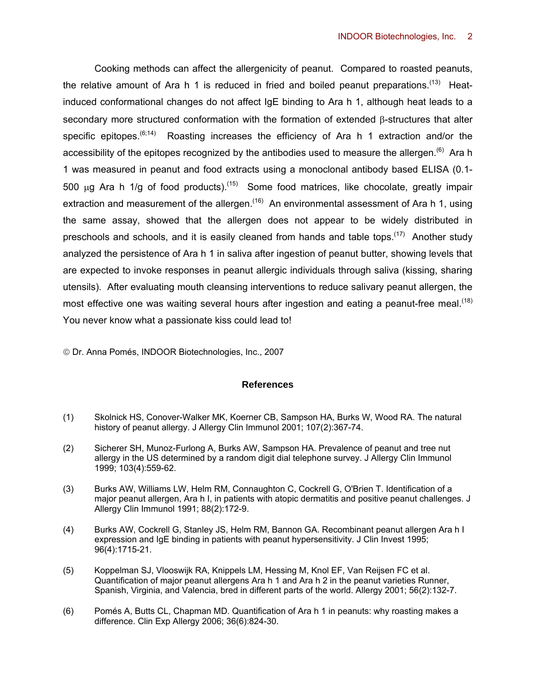Cooking methods can affect the allergenicity of peanut. Compared to roasted peanuts, the relative amount of Ara h 1 is reduced in fried and boiled peanut preparations.<sup>(13)</sup> Heatinduced conformational changes do not affect IgE binding to Ara h 1, although heat leads to a secondary more structured conformation with the formation of extended β-structures that alter specific epitopes.<sup>(6;14)</sup> Roasting increases the efficiency of Ara h 1 extraction and/or the accessibility of the epitopes recognized by the antibodies used to measure the allergen.<sup>(6)</sup> Ara h 1 was measured in peanut and food extracts using a monoclonal antibody based ELISA (0.1- 500  $\mu$ g Ara h 1/g of food products).<sup>(15)</sup> Some food matrices, like chocolate, greatly impair extraction and measurement of the allergen.<sup>(16)</sup> An environmental assessment of Ara h 1, using the same assay, showed that the allergen does not appear to be widely distributed in preschools and schools, and it is easily cleaned from hands and table tops.<sup> $(17)$ </sup> Another study analyzed the persistence of Ara h 1 in saliva after ingestion of peanut butter, showing levels that are expected to invoke responses in peanut allergic individuals through saliva (kissing, sharing utensils). After evaluating mouth cleansing interventions to reduce salivary peanut allergen, the most effective one was waiting several hours after ingestion and eating a peanut-free meal.<sup>(18)</sup> You never know what a passionate kiss could lead to!

© Dr. Anna Pomés, INDOOR Biotechnologies, Inc., 2007

## **References**

- (1) Skolnick HS, Conover-Walker MK, Koerner CB, Sampson HA, Burks W, Wood RA. The natural history of peanut allergy. J Allergy Clin Immunol 2001; 107(2):367-74.
- (2) Sicherer SH, Munoz-Furlong A, Burks AW, Sampson HA. Prevalence of peanut and tree nut allergy in the US determined by a random digit dial telephone survey. J Allergy Clin Immunol 1999; 103(4):559-62.
- (3) Burks AW, Williams LW, Helm RM, Connaughton C, Cockrell G, O'Brien T. Identification of a major peanut allergen, Ara h I, in patients with atopic dermatitis and positive peanut challenges. J Allergy Clin Immunol 1991; 88(2):172-9.
- (4) Burks AW, Cockrell G, Stanley JS, Helm RM, Bannon GA. Recombinant peanut allergen Ara h I expression and IgE binding in patients with peanut hypersensitivity. J Clin Invest 1995; 96(4):1715-21.
- (5) Koppelman SJ, Vlooswijk RA, Knippels LM, Hessing M, Knol EF, Van Reijsen FC et al. Quantification of major peanut allergens Ara h 1 and Ara h 2 in the peanut varieties Runner, Spanish, Virginia, and Valencia, bred in different parts of the world. Allergy 2001; 56(2):132-7.
- (6) Pomés A, Butts CL, Chapman MD. Quantification of Ara h 1 in peanuts: why roasting makes a difference. Clin Exp Allergy 2006; 36(6):824-30.